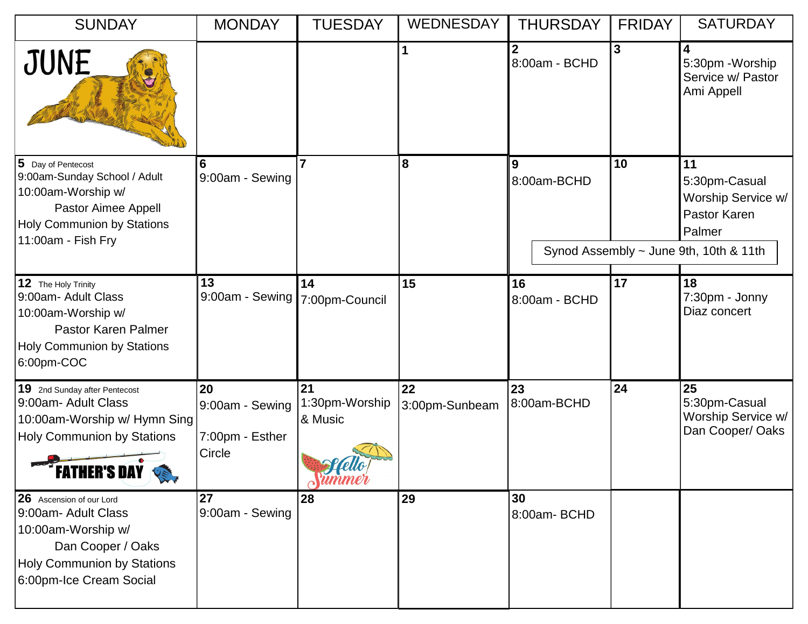| <b>SUNDAY</b>                                                                                                                                                      | <b>MONDAY</b>                                      | <b>TUESDAY</b>                                                       | <b>WEDNESDAY</b>     | <b>THURSDAY</b>     | <b>FRIDAY</b> | <b>SATURDAY</b>                                                                                               |
|--------------------------------------------------------------------------------------------------------------------------------------------------------------------|----------------------------------------------------|----------------------------------------------------------------------|----------------------|---------------------|---------------|---------------------------------------------------------------------------------------------------------------|
| JUNE                                                                                                                                                               |                                                    |                                                                      | $\mathbf{1}$         | 8:00am - BCHD       | 3             | 4<br>5:30pm - Worship<br>Service w/ Pastor<br>Ami Appell                                                      |
| $\vert$ 5 Day of Pentecost<br>9:00am-Sunday School / Adult<br>10:00am-Worship w/<br>Pastor Aimee Appell<br><b>Holy Communion by Stations</b><br>11:00am - Fish Fry | 6<br>9:00am - Sewing                               | 7                                                                    | 8                    | 9<br>8:00am-BCHD    | 10            | 11<br>5:30pm-Casual<br>Worship Service w/<br>Pastor Karen<br>Palmer<br>Synod Assembly ~ June 9th, 10th & 11th |
| 12 The Holy Trinity<br>9:00am- Adult Class<br>10:00am-Worship w/<br>Pastor Karen Palmer<br><b>Holy Communion by Stations</b><br>6:00pm-COC                         | 13<br>9:00am - Sewing                              | 14<br>7:00pm-Council                                                 | 15                   | 16<br>8:00am - BCHD | 17            | 18<br>7:30pm - Jonny<br>Diaz concert                                                                          |
| 19 2nd Sunday after Pentecost<br>9:00am- Adult Class<br>10:00am-Worship w/ Hymn Sing<br><b>Holy Communion by Stations</b><br><b>FATHER'S DAY</b>                   | 20<br>9:00am - Sewing<br>7:00pm - Esther<br>Circle | 21<br>1:30pm-Worship<br>& Music<br><i><u><u><b>ummer</b></u></u></i> | 22<br>3:00pm-Sunbeam | 23<br>8:00am-BCHD   | 24            | 25<br>5:30pm-Casual<br>Worship Service w/<br>Dan Cooper/ Oaks                                                 |
| 26 Ascension of our Lord<br>9:00am- Adult Class<br>10:00am-Worship w/<br>Dan Cooper / Oaks<br>Holy Communion by Stations<br>6:00pm-Ice Cream Social                | 27<br>9:00am - Sewing                              | 28                                                                   | 29                   | 30<br>8:00am-BCHD   |               |                                                                                                               |